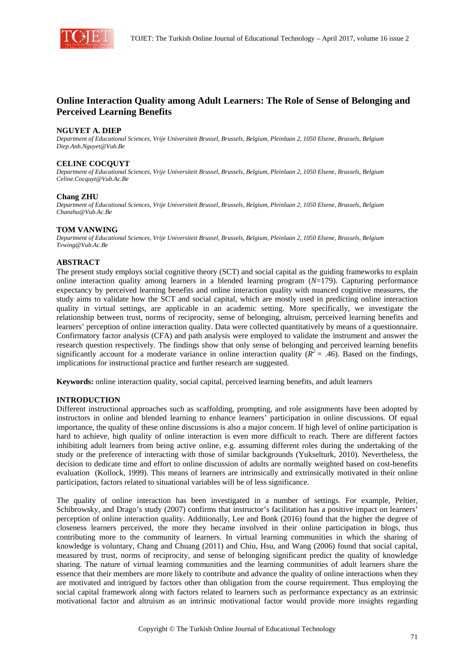

# **Online Interaction Quality among Adult Learners: The Role of Sense of Belonging and Perceived Learning Benefits**

### **NGUYET A. DIEP**

*Department of Educational Sciences, Vrije Universiteit Brussel, Brussels, Belgium, Pleinlaan 2, 1050 Elsene, Brussels, Belgium Diep.Anh.Nguyet@Vub.Be* 

### **CELINE COCQUYT**

*Department of Educational Sciences, Vrije Universiteit Brussel, Brussels, Belgium, Pleinlaan 2, 1050 Elsene, Brussels, Belgium Celine.Cocquyt@Vub.Ac.Be*

### **Chang ZHU**

*Department of Educational Sciences, Vrije Universiteit Brussel, Brussels, Belgium, Pleinlaan 2, 1050 Elsene, Brussels, Belgium Chanzhu@Vub.Ac.Be*

### **TOM VANWING**

*Department of Educational Sciences, Vrije Universiteit Brussel, Brussels, Belgium, Pleinlaan 2, 1050 Elsene, Brussels, Belgium Tvwing@Vub.Ac.Be* 

# **ABSTRACT**

The present study employs social cognitive theory (SCT) and social capital as the guiding frameworks to explain online interaction quality among learners in a blended learning program (*N*=179). Capturing performance expectancy by perceived learning benefits and online interaction quality with nuanced cognitive measures, the study aims to validate how the SCT and social capital, which are mostly used in predicting online interaction quality in virtual settings, are applicable in an academic setting. More specifically, we investigate the relationship between trust, norms of reciprocity, sense of belonging, altruism, perceived learning benefits and learners' perception of online interaction quality. Data were collected quantitatively by means of a questionnaire. Confirmatory factor analysis (CFA) and path analysis were employed to validate the instrument and answer the research question respectively. The findings show that only sense of belonging and perceived learning benefits significantly account for a moderate variance in online interaction quality  $(R^2 = .46)$ . Based on the findings, implications for instructional practice and further research are suggested.

**Keywords:** online interaction quality, social capital, perceived learning benefits, and adult learners

# **INTRODUCTION**

Different instructional approaches such as scaffolding, prompting, and role assignments have been adopted by instructors in online and blended learning to enhance learners' participation in online discussions. Of equal importance, the quality of these online discussions is also a major concern. If high level of online participation is hard to achieve, high quality of online interaction is even more difficult to reach. There are different factors inhibiting adult learners from being active online, e.g. assuming different roles during the undertaking of the study or the preference of interacting with those of similar backgrounds (Yukselturk, 2010). Nevertheless, the decision to dedicate time and effort to online discussion of adults are normally weighted based on cost-benefits evaluation (Kollock, 1999). This means of learners are intrinsically and extrinsically motivated in their online participation, factors related to situational variables will be of less significance.

The quality of online interaction has been investigated in a number of settings. For example, Peltier, Schibrowsky, and Drago's study (2007) confirms that instructor's facilitation has a positive impact on learners' perception of online interaction quality. Additionally, Lee and Bonk (2016) found that the higher the degree of closeness learners perceived, the more they became involved in their online participation in blogs, thus contributing more to the community of learners. In virtual learning communities in which the sharing of knowledge is voluntary, Chang and Chuang (2011) and Chiu, Hsu, and Wang (2006) found that social capital, measured by trust, norms of reciprocity, and sense of belonging significant predict the quality of knowledge sharing. The nature of virtual learning communities and the learning communities of adult learners share the essence that their members are more likely to contribute and advance the quality of online interactions when they are motivated and intrigued by factors other than obligation from the course requirement. Thus employing the social capital framework along with factors related to learners such as performance expectancy as an extrinsic motivational factor and altruism as an intrinsic motivational factor would provide more insights regarding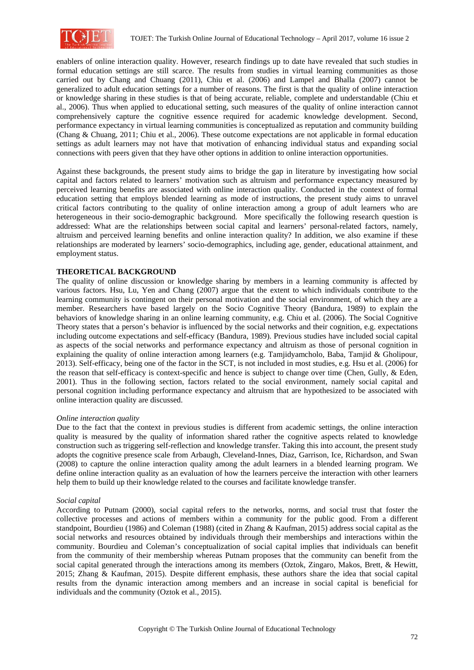

enablers of online interaction quality. However, research findings up to date have revealed that such studies in formal education settings are still scarce. The results from studies in virtual learning communities as those carried out by Chang and Chuang (2011), Chiu et al. (2006) and Lampel and Bhalla (2007) cannot be generalized to adult education settings for a number of reasons. The first is that the quality of online interaction or knowledge sharing in these studies is that of being accurate, reliable, complete and understandable (Chiu et al., 2006). Thus when applied to educational setting, such measures of the quality of online interaction cannot comprehensively capture the cognitive essence required for academic knowledge development. Second, performance expectancy in virtual learning communities is conceptualized as reputation and community building (Chang & Chuang, 2011; Chiu et al., 2006). These outcome expectations are not applicable in formal education settings as adult learners may not have that motivation of enhancing individual status and expanding social connections with peers given that they have other options in addition to online interaction opportunities.

Against these backgrounds, the present study aims to bridge the gap in literature by investigating how social capital and factors related to learners' motivation such as altruism and performance expectancy measured by perceived learning benefits are associated with online interaction quality. Conducted in the context of formal education setting that employs blended learning as mode of instructions, the present study aims to unravel critical factors contributing to the quality of online interaction among a group of adult learners who are heterogeneous in their socio-demographic background. More specifically the following research question is addressed: What are the relationships between social capital and learners' personal-related factors, namely, altruism and perceived learning benefits and online interaction quality? In addition, we also examine if these relationships are moderated by learners' socio-demographics, including age, gender, educational attainment, and employment status.

# **THEORETICAL BACKGROUND**

The quality of online discussion or knowledge sharing by members in a learning community is affected by various factors. Hsu, Lu, Yen and Chang (2007) argue that the extent to which individuals contribute to the learning community is contingent on their personal motivation and the social environment, of which they are a member. Researchers have based largely on the Socio Cognitive Theory (Bandura, 1989) to explain the behaviors of knowledge sharing in an online learning community, e.g. Chiu et al. (2006). The Social Cognitive Theory states that a person's behavior is influenced by the social networks and their cognition, e.g. expectations including outcome expectations and self-efficacy (Bandura, 1989). Previous studies have included social capital as aspects of the social networks and performance expectancy and altruism as those of personal cognition in explaining the quality of online interaction among learners (e.g. Tamjidyamcholo, Baba, Tamjid & Gholipour, 2013). Self-efficacy, being one of the factor in the SCT, is not included in most studies, e.g. Hsu et al. (2006) for the reason that self-efficacy is context-specific and hence is subject to change over time (Chen, Gully, & Eden, 2001). Thus in the following section, factors related to the social environment, namely social capital and personal cognition including performance expectancy and altruism that are hypothesized to be associated with online interaction quality are discussed.

# *Online interaction quality*

Due to the fact that the context in previous studies is different from academic settings, the online interaction quality is measured by the quality of information shared rather the cognitive aspects related to knowledge construction such as triggering self-reflection and knowledge transfer. Taking this into account, the present study adopts the cognitive presence scale from Arbaugh, Cleveland-Innes, Diaz, Garrison, Ice, Richardson, and Swan (2008) to capture the online interaction quality among the adult learners in a blended learning program. We define online interaction quality as an evaluation of how the learners perceive the interaction with other learners help them to build up their knowledge related to the courses and facilitate knowledge transfer.

#### *Social capital*

According to Putnam (2000), social capital refers to the networks, norms, and social trust that foster the collective processes and actions of members within a community for the public good. From a different standpoint, Bourdieu (1986) and Coleman (1988) (cited in Zhang & Kaufman, 2015) address social capital as the social networks and resources obtained by individuals through their memberships and interactions within the community. Bourdieu and Coleman's conceptualization of social capital implies that individuals can benefit from the community of their membership whereas Putnam proposes that the community can benefit from the social capital generated through the interactions among its members (Oztok, Zingaro, Makos, Brett, & Hewitt, 2015; Zhang & Kaufman, 2015). Despite different emphasis, these authors share the idea that social capital results from the dynamic interaction among members and an increase in social capital is beneficial for individuals and the community (Oztok et al., 2015).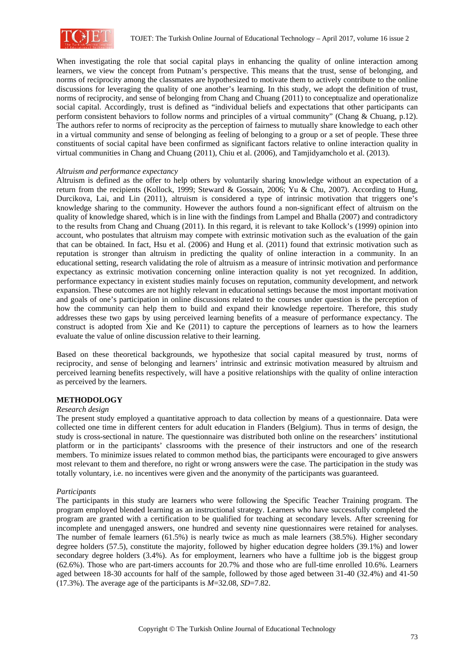

When investigating the role that social capital plays in enhancing the quality of online interaction among learners, we view the concept from Putnam's perspective. This means that the trust, sense of belonging, and norms of reciprocity among the classmates are hypothesized to motivate them to actively contribute to the online discussions for leveraging the quality of one another's learning. In this study, we adopt the definition of trust, norms of reciprocity, and sense of belonging from Chang and Chuang (2011) to conceptualize and operationalize social capital. Accordingly, trust is defined as "individual beliefs and expectations that other participants can perform consistent behaviors to follow norms and principles of a virtual community" (Chang & Chuang, p.12). The authors refer to norms of reciprocity as the perception of fairness to mutually share knowledge to each other in a virtual community and sense of belonging as feeling of belonging to a group or a set of people. These three constituents of social capital have been confirmed as significant factors relative to online interaction quality in virtual communities in Chang and Chuang (2011), Chiu et al. (2006), and Tamjidyamcholo et al. (2013).

### *Altruism and performance expectancy*

Altruism is defined as the offer to help others by voluntarily sharing knowledge without an expectation of a return from the recipients (Kollock, 1999; Steward & Gossain, 2006; Yu & Chu, 2007). According to Hung, Durcikova, Lai, and Lin (2011), altruism is considered a type of intrinsic motivation that triggers one's knowledge sharing to the community. However the authors found a non-significant effect of altruism on the quality of knowledge shared, which is in line with the findings from Lampel and Bhalla (2007) and contradictory to the results from Chang and Chuang (2011). In this regard, it is relevant to take Kollock's (1999) opinion into account, who postulates that altruism may compete with extrinsic motivation such as the evaluation of the gain that can be obtained. In fact, Hsu et al. (2006) and Hung et al. (2011) found that extrinsic motivation such as reputation is stronger than altruism in predicting the quality of online interaction in a community. In an educational setting, research validating the role of altruism as a measure of intrinsic motivation and performance expectancy as extrinsic motivation concerning online interaction quality is not yet recognized. In addition, performance expectancy in existent studies mainly focuses on reputation, community development, and network expansion. These outcomes are not highly relevant in educational settings because the most important motivation and goals of one's participation in online discussions related to the courses under question is the perception of how the community can help them to build and expand their knowledge repertoire. Therefore, this study addresses these two gaps by using perceived learning benefits of a measure of performance expectancy. The construct is adopted from Xie and Ke (2011) to capture the perceptions of learners as to how the learners evaluate the value of online discussion relative to their learning.

Based on these theoretical backgrounds, we hypothesize that social capital measured by trust, norms of reciprocity, and sense of belonging and learners' intrinsic and extrinsic motivation measured by altruism and perceived learning benefits respectively, will have a positive relationships with the quality of online interaction as perceived by the learners.

# **METHODOLOGY**

#### *Research design*

The present study employed a quantitative approach to data collection by means of a questionnaire. Data were collected one time in different centers for adult education in Flanders (Belgium). Thus in terms of design, the study is cross-sectional in nature. The questionnaire was distributed both online on the researchers' institutional platform or in the participants' classrooms with the presence of their instructors and one of the research members. To minimize issues related to common method bias, the participants were encouraged to give answers most relevant to them and therefore, no right or wrong answers were the case. The participation in the study was totally voluntary, i.e. no incentives were given and the anonymity of the participants was guaranteed.

# *Participants*

The participants in this study are learners who were following the Specific Teacher Training program. The program employed blended learning as an instructional strategy. Learners who have successfully completed the program are granted with a certification to be qualified for teaching at secondary levels. After screening for incomplete and unengaged answers, one hundred and seventy nine questionnaires were retained for analyses. The number of female learners (61.5%) is nearly twice as much as male learners (38.5%). Higher secondary degree holders (57.5), constitute the majority, followed by higher education degree holders (39.1%) and lower secondary degree holders (3.4%). As for employment, learners who have a fulltime job is the biggest group (62.6%). Those who are part-timers accounts for 20.7% and those who are full-time enrolled 10.6%. Learners aged between 18-30 accounts for half of the sample, followed by those aged between 31-40 (32.4%) and 41-50 (17.3%). The average age of the participants is *M*=32.08, *SD*=7.82.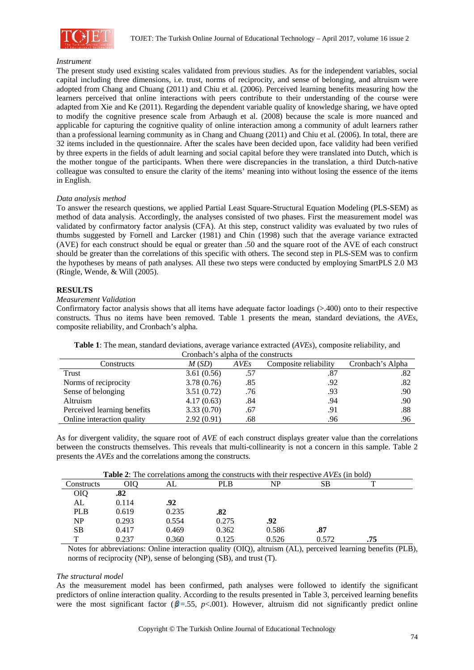

### *Instrument*

The present study used existing scales validated from previous studies. As for the independent variables, social capital including three dimensions, i.e. trust, norms of reciprocity, and sense of belonging, and altruism were adopted from Chang and Chuang (2011) and Chiu et al. (2006). Perceived learning benefits measuring how the learners perceived that online interactions with peers contribute to their understanding of the course were adapted from Xie and Ke (2011). Regarding the dependent variable quality of knowledge sharing, we have opted to modify the cognitive presence scale from Arbaugh et al. (2008) because the scale is more nuanced and applicable for capturing the cognitive quality of online interaction among a community of adult learners rather than a professional learning community as in Chang and Chuang (2011) and Chiu et al. (2006). In total, there are 32 items included in the questionnaire. After the scales have been decided upon, face validity had been verified by three experts in the fields of adult learning and social capital before they were translated into Dutch, which is the mother tongue of the participants. When there were discrepancies in the translation, a third Dutch-native colleague was consulted to ensure the clarity of the items' meaning into without losing the essence of the items in English.

# *Data analysis method*

To answer the research questions, we applied Partial Least Square-Structural Equation Modeling (PLS-SEM) as method of data analysis. Accordingly, the analyses consisted of two phases. First the measurement model was validated by confirmatory factor analysis (CFA). At this step, construct validity was evaluated by two rules of thumbs suggested by Fornell and Larcker (1981) and Chin (1998) such that the average variance extracted (AVE) for each construct should be equal or greater than .50 and the square root of the AVE of each construct should be greater than the correlations of this specific with others. The second step in PLS-SEM was to confirm the hypotheses by means of path analyses. All these two steps were conducted by employing SmartPLS 2.0 M3 (Ringle, Wende, & Will (2005).

### **RESULTS**

### *Measurement Validation*

Confirmatory factor analysis shows that all items have adequate factor loadings (>.400) onto to their respective constructs. Thus no items have been removed. Table 1 presents the mean, standard deviations, the *AVEs*, composite reliability, and Cronbach's alpha.

|                             | Cronbach's alpha of the constructs |             |                       |                  |
|-----------------------------|------------------------------------|-------------|-----------------------|------------------|
| Constructs                  | M(SD)                              | <b>AVEs</b> | Composite reliability | Cronbach's Alpha |
| Trust                       | 3.61(0.56)                         | .57         | .87                   | .82              |
| Norms of reciprocity        | 3.78(0.76)                         | .85         | .92                   | .82              |
| Sense of belonging          | 3.51(0.72)                         | .76         | .93                   | .90              |
| Altruism                    | 4.17(0.63)                         | .84         | .94                   | .90              |
| Perceived learning benefits | 3.33(0.70)                         | .67         | .91                   | .88              |
| Online interaction quality  | 2.92(0.91)                         | .68         | .96                   | .96              |

**Table 1**: The mean, standard deviations, average variance extracted (*AVEs*), composite reliability, and

As for divergent validity, the square root of *AVE* of each construct displays greater value than the correlations between the constructs themselves. This reveals that multi-collinearity is not a concern in this sample. Table 2 presents the *AVEs* and the correlations among the constructs.

|            |       |       | <b>Table 2:</b> The correlations among the constructs with their respective $AVEs$ (in bold) |       |       |     |  |
|------------|-------|-------|----------------------------------------------------------------------------------------------|-------|-------|-----|--|
| Constructs | OIO   | AL    | PLB                                                                                          | NP    | SВ    | T   |  |
| <b>OIO</b> | .82   |       |                                                                                              |       |       |     |  |
| AL         | 0.114 | .92   |                                                                                              |       |       |     |  |
| <b>PLB</b> | 0.619 | 0.235 | .82                                                                                          |       |       |     |  |
| NP         | 0.293 | 0.554 | 0.275                                                                                        | .92   |       |     |  |
| SВ         | 0.417 | 0.469 | 0.362                                                                                        | 0.586 | .87   |     |  |
| т          | 0.237 | 0.360 | 0.125                                                                                        | 0.526 | 0.572 | .75 |  |

**Table 2**: The correlations among the constructs with their respective *AVEs* (in bold)

Notes for abbreviations: Online interaction quality (OIQ), altruism (AL), perceived learning benefits (PLB), norms of reciprocity (NP), sense of belonging (SB), and trust (T).

#### *The structural model*

As the measurement model has been confirmed, path analyses were followed to identify the significant predictors of online interaction quality. According to the results presented in Table 3, perceived learning benefits were the most significant factor ( $\beta$ =.55, *p*<.001). However, altruism did not significantly predict online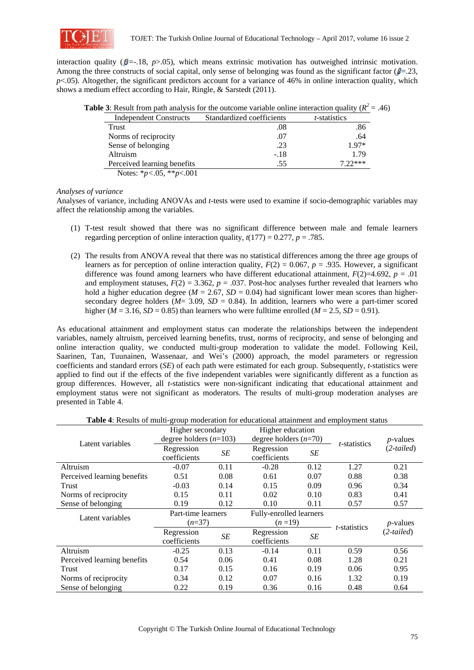

interaction quality ( $\beta$ =-.18,  $p$ >.05), which means extrinsic motivation has outweighed intrinsic motivation. Among the three constructs of social capital, only sense of belonging was found as the significant factor ( $\beta = 23$ , *p*<.05). Altogether, the significant predictors account for a variance of 46% in online interaction quality, which shows a medium effect according to Hair, Ringle, & Sarstedt (2011).

| Indonesiant Constructs Stendardized operficients                                                              |  |  |  | <i>Antotinting</i> |  |  |
|---------------------------------------------------------------------------------------------------------------|--|--|--|--------------------|--|--|
| <b>Table 3:</b> Result from path analysis for the outcome variable online interaction quality ( $R^2 = .46$ ) |  |  |  |                    |  |  |

| <b>Independent Constructs</b>      | Standardized coefficients | <i>t</i> -statistics |
|------------------------------------|---------------------------|----------------------|
| Trust                              | .08                       | .86                  |
| Norms of reciprocity               | .07                       | .64                  |
| Sense of belonging                 | .23                       | $1.97*$              |
| <b>Altruism</b>                    | $-.18$                    | 1.79                 |
| Perceived learning benefits        | .55                       | $7.22***$            |
| Notes: * $p < .05$ , ** $p < .001$ |                           |                      |

### *Analyses of variance*

Analyses of variance, including ANOVAs and *t*-tests were used to examine if socio-demographic variables may affect the relationship among the variables.

- (1) T-test result showed that there was no significant difference between male and female learners regarding perception of online interaction quality,  $t(177) = 0.277$ ,  $p = .785$ .
- (2) The results from ANOVA reveal that there was no statistical differences among the three age groups of learners as for perception of online interaction quality,  $F(2) = 0.067$ ,  $p = .935$ . However, a significant difference was found among learners who have different educational attainment,  $F(2)=4.692$ ,  $p=.01$ and employment statuses,  $F(2) = 3.362$ ,  $p = .037$ . Post-hoc analyses further revealed that learners who hold a higher education degree ( $M = 2.67$ ,  $SD = 0.04$ ) had significant lower mean scores than highersecondary degree holders ( $M = 3.09$ ,  $SD = 0.84$ ). In addition, learners who were a part-timer scored higher ( $M = 3.16$ ,  $SD = 0.85$ ) than learners who were fulltime enrolled ( $M = 2.5$ ,  $SD = 0.91$ ).

As educational attainment and employment status can moderate the relationships between the independent variables, namely altruism, perceived learning benefits, trust, norms of reciprocity, and sense of belonging and online interaction quality, we conducted multi-group moderation to validate the model. Following Keil, Saarinen, Tan, Tuunainen, Wassenaar, and Wei's (2000) approach, the model parameters or regression coefficients and standard errors (*SE*) of each path were estimated for each group. Subsequently, *t-*statistics were applied to find out if the effects of the five independent variables were significantly different as a function as group differences. However, all *t*-statistics were non-significant indicating that educational attainment and employment status were not significant as moderators. The results of multi-group moderation analyses are presented in Table 4.

|                             | Higher secondary         |           | Higher education        |      |                      |              |  |
|-----------------------------|--------------------------|-----------|-------------------------|------|----------------------|--------------|--|
| Latent variables            | degree holders $(n=103)$ |           | degree holders $(n=70)$ |      | <i>t</i> -statistics | $p$ -values  |  |
|                             | Regression               | SE        | Regression              | SE   |                      | $(2-tailed)$ |  |
|                             | coefficients             |           | coefficients            |      |                      |              |  |
| Altruism                    | $-0.07$                  | 0.11      | $-0.28$                 | 0.12 | 1.27                 | 0.21         |  |
| Perceived learning benefits | 0.51                     | 0.08      | 0.61                    | 0.07 | 0.88                 | 0.38         |  |
| Trust                       | $-0.03$                  | 0.14      | 0.15                    | 0.09 | 0.96                 | 0.34         |  |
| Norms of reciprocity        | 0.15                     | 0.11      | 0.02                    | 0.10 | 0.83                 | 0.41         |  |
| Sense of belonging          | 0.19                     | 0.12      | 0.10                    | 0.11 | 0.57                 | 0.57         |  |
|                             |                          |           |                         |      |                      |              |  |
|                             | Part-time learners       |           | Fully-enrolled learners |      |                      |              |  |
| Latent variables            | $(n=37)$                 |           | $(n=19)$                |      |                      | $p$ -values  |  |
|                             | Regression               |           | Regression              |      | t-statistics         | $(2-tailed)$ |  |
|                             | coefficients             | $\cal SE$ | coefficients            | SE   |                      |              |  |
| Altruism                    | $-0.25$                  | 0.13      | $-0.14$                 | 0.11 | 0.59                 | 0.56         |  |
| Perceived learning benefits | 0.54                     | 0.06      | 0.41                    | 0.08 | 1.28                 | 0.21         |  |
| Trust                       | 0.17                     | 0.15      | 0.16                    | 0.19 | 0.06                 | 0.95         |  |
| Norms of reciprocity        | 0.34                     | 0.12      | 0.07                    | 0.16 | 1.32                 | 0.19         |  |

**Table 4**: Results of multi-group moderation for educational attainment and employment status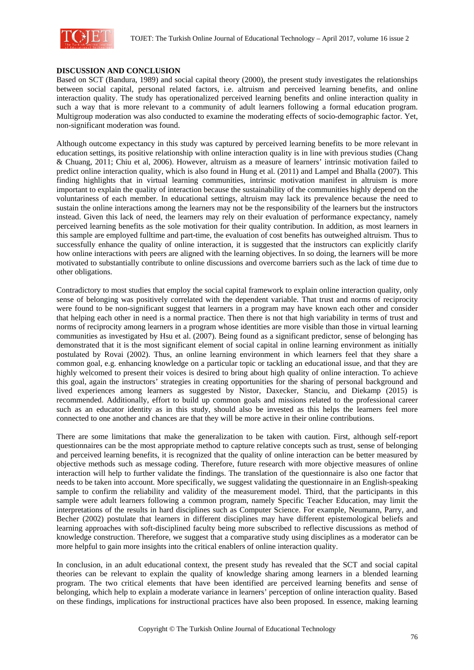

# **DISCUSSION AND CONCLUSION**

Based on SCT (Bandura, 1989) and social capital theory (2000), the present study investigates the relationships between social capital, personal related factors, i.e. altruism and perceived learning benefits, and online interaction quality. The study has operationalized perceived learning benefits and online interaction quality in such a way that is more relevant to a community of adult learners following a formal education program. Multigroup moderation was also conducted to examine the moderating effects of socio-demographic factor. Yet, non-significant moderation was found.

Although outcome expectancy in this study was captured by perceived learning benefits to be more relevant in education settings, its positive relationship with online interaction quality is in line with previous studies (Chang & Chuang, 2011; Chiu et al, 2006). However, altruism as a measure of learners' intrinsic motivation failed to predict online interaction quality, which is also found in Hung et al. (2011) and Lampel and Bhalla (2007). This finding highlights that in virtual learning communities, intrinsic motivation manifest in altruism is more important to explain the quality of interaction because the sustainability of the communities highly depend on the voluntariness of each member. In educational settings, altruism may lack its prevalence because the need to sustain the online interactions among the learners may not be the responsibility of the learners but the instructors instead. Given this lack of need, the learners may rely on their evaluation of performance expectancy, namely perceived learning benefits as the sole motivation for their quality contribution. In addition, as most learners in this sample are employed fulltime and part-time, the evaluation of cost benefits has outweighed altruism. Thus to successfully enhance the quality of online interaction, it is suggested that the instructors can explicitly clarify how online interactions with peers are aligned with the learning objectives. In so doing, the learners will be more motivated to substantially contribute to online discussions and overcome barriers such as the lack of time due to other obligations.

Contradictory to most studies that employ the social capital framework to explain online interaction quality, only sense of belonging was positively correlated with the dependent variable. That trust and norms of reciprocity were found to be non-significant suggest that learners in a program may have known each other and consider that helping each other in need is a normal practice. Then there is not that high variability in terms of trust and norms of reciprocity among learners in a program whose identities are more visible than those in virtual learning communities as investigated by Hsu et al. (2007). Being found as a significant predictor, sense of belonging has demonstrated that it is the most significant element of social capital in online learning environment as initially postulated by Rovai (2002). Thus, an online learning environment in which learners feel that they share a common goal, e.g. enhancing knowledge on a particular topic or tackling an educational issue, and that they are highly welcomed to present their voices is desired to bring about high quality of online interaction. To achieve this goal, again the instructors' strategies in creating opportunities for the sharing of personal background and lived experiences among learners as suggested by Nistor, Daxecker, Stanciu, and Diekamp (2015) is recommended. Additionally, effort to build up common goals and missions related to the professional career such as an educator identity as in this study, should also be invested as this helps the learners feel more connected to one another and chances are that they will be more active in their online contributions.

There are some limitations that make the generalization to be taken with caution. First, although self-report questionnaires can be the most appropriate method to capture relative concepts such as trust, sense of belonging and perceived learning benefits, it is recognized that the quality of online interaction can be better measured by objective methods such as message coding. Therefore, future research with more objective measures of online interaction will help to further validate the findings. The translation of the questionnaire is also one factor that needs to be taken into account. More specifically, we suggest validating the questionnaire in an English-speaking sample to confirm the reliability and validity of the measurement model. Third, that the participants in this sample were adult learners following a common program, namely Specific Teacher Education, may limit the interpretations of the results in hard disciplines such as Computer Science. For example, Neumann, Parry, and Becher (2002) postulate that learners in different disciplines may have different epistemological beliefs and learning approaches with soft-disciplined faculty being more subscribed to reflective discussions as method of knowledge construction. Therefore, we suggest that a comparative study using disciplines as a moderator can be more helpful to gain more insights into the critical enablers of online interaction quality.

In conclusion, in an adult educational context, the present study has revealed that the SCT and social capital theories can be relevant to explain the quality of knowledge sharing among learners in a blended learning program. The two critical elements that have been identified are perceived learning benefits and sense of belonging, which help to explain a moderate variance in learners' perception of online interaction quality. Based on these findings, implications for instructional practices have also been proposed. In essence, making learning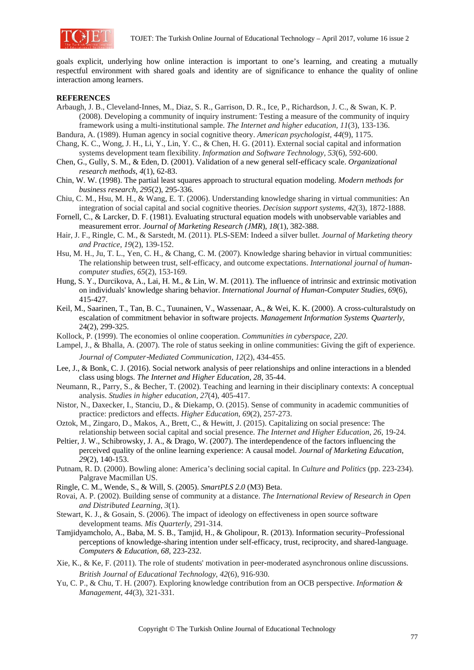

goals explicit, underlying how online interaction is important to one's learning, and creating a mutually respectful environment with shared goals and identity are of significance to enhance the quality of online interaction among learners.

# **REFERENCES**

- Arbaugh, J. B., Cleveland-Innes, M., Diaz, S. R., Garrison, D. R., Ice, P., Richardson, J. C., & Swan, K. P. (2008). Developing a community of inquiry instrument: Testing a measure of the community of inquiry framework using a multi-institutional sample. *The Internet and higher education*, *11*(3), 133-136.
- Bandura, A. (1989). Human agency in social cognitive theory. *American psychologist*, *44*(9), 1175.
- Chang, K. C., Wong, J. H., Li, Y., Lin, Y. C., & Chen, H. G. (2011). External social capital and information systems development team flexibility. *Information and Software Technology*, *53*(6), 592-600.
- Chen, G., Gully, S. M., & Eden, D. (2001). Validation of a new general self-efficacy scale. *Organizational research methods*, *4*(1), 62-83.
- Chin, W. W. (1998). The partial least squares approach to structural equation modeling. *Modern methods for business research*, *295*(2), 295-336.
- Chiu, C. M., Hsu, M. H., & Wang, E. T. (2006). Understanding knowledge sharing in virtual communities: An integration of social capital and social cognitive theories. *Decision support systems*, *42*(3), 1872-1888.
- Fornell, C., & Larcker, D. F. (1981). Evaluating structural equation models with unobservable variables and measurement error. *Journal of Marketing Research (JMR*), *18*(1), 382-388.
- Hair, J. F., Ringle, C. M., & Sarstedt, M. (2011). PLS-SEM: Indeed a silver bullet. *Journal of Marketing theory and Practice*, *19*(2), 139-152.
- Hsu, M. H., Ju, T. L., Yen, C. H., & Chang, C. M. (2007). Knowledge sharing behavior in virtual communities: The relationship between trust, self-efficacy, and outcome expectations. *International journal of humancomputer studies*, *65*(2), 153-169.
- Hung, S. Y., Durcikova, A., Lai, H. M., & Lin, W. M. (2011). The influence of intrinsic and extrinsic motivation on individuals' knowledge sharing behavior. *International Journal of Human-Computer Studies*, *69*(6), 415-427.
- Keil, M., Saarinen, T., Tan, B. C., Tuunainen, V., Wassenaar, A., & Wei, K. K. (2000). A cross-culturalstudy on escalation of commitment behavior in software projects. *Management Information Systems Quarterly*, 24(2), 299-325.
- Kollock, P. (1999). The economies ol online cooperation. *Communities in cyberspace*, *220*.
- Lampel, J., & Bhalla, A. (2007). The role of status seeking in online communities: Giving the gift of experience. *Journal of Computer*‐*Mediated Communication*, *12*(2), 434-455.
- Lee, J., & Bonk, C. J. (2016). Social network analysis of peer relationships and online interactions in a blended class using blogs. *The Internet and Higher Education*, *28*, 35-44.
- Neumann, R., Parry, S., & Becher, T. (2002). Teaching and learning in their disciplinary contexts: A conceptual analysis. *Studies in higher education*, *27*(4), 405-417.
- Nistor, N., Daxecker, I., Stanciu, D., & Diekamp, O. (2015). Sense of community in academic communities of practice: predictors and effects. *Higher Education*, *69*(2), 257-273.
- Oztok, M., Zingaro, D., Makos, A., Brett, C., & Hewitt, J. (2015). Capitalizing on social presence: The relationship between social capital and social presence. *The Internet and Higher Education*, *26*, 19-24.
- Peltier, J. W., Schibrowsky, J. A., & Drago, W. (2007). The interdependence of the factors influencing the perceived quality of the online learning experience: A causal model. *Journal of Marketing Education*, *29*(2), 140-153.
- Putnam, R. D. (2000). Bowling alone: America's declining social capital. In *Culture and Politics* (pp. 223-234). Palgrave Macmillan US.
- Ringle, C. M., Wende, S., & Will, S. (2005). *SmartPLS 2.0* (M3) Beta.
- Rovai, A. P. (2002). Building sense of community at a distance. *The International Review of Research in Open and Distributed Learning*, *3*(1).
- Stewart, K. J., & Gosain, S. (2006). The impact of ideology on effectiveness in open source software development teams. *Mis Quarterly*, 291-314.
- Tamjidyamcholo, A., Baba, M. S. B., Tamjid, H., & Gholipour, R. (2013). Information security–Professional perceptions of knowledge-sharing intention under self-efficacy, trust, reciprocity, and shared-language. *Computers & Education*, *68*, 223-232.
- Xie, K., & Ke, F. (2011). The role of students' motivation in peer‐moderated asynchronous online discussions. *British Journal of Educational Technology*, *42*(6), 916-930.
- Yu, C. P., & Chu, T. H. (2007). Exploring knowledge contribution from an OCB perspective. *Information & Management*, *44*(3), 321-331.